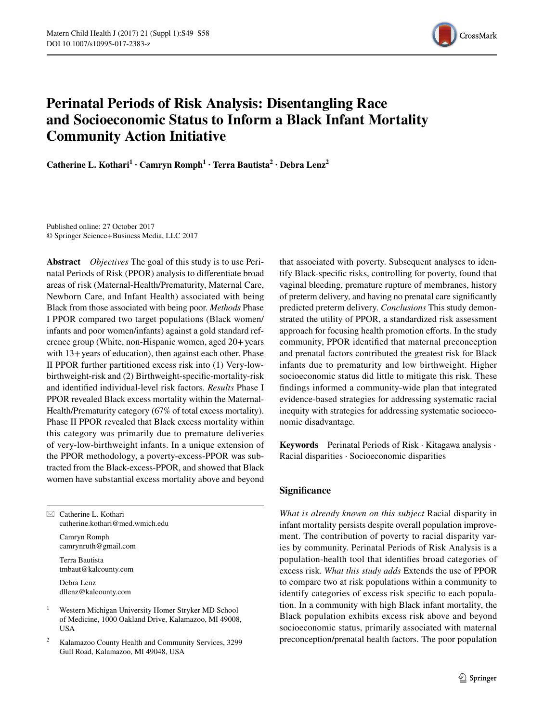

# **Perinatal Periods of Risk Analysis: Disentangling Race and Socioeconomic Status to Inform a Black Infant Mortality Community Action Initiative**

**Catherine L. Kothari<sup>1</sup> · Camryn Romph<sup>1</sup> · Terra Bautista<sup>2</sup> · Debra Lenz2**

Published online: 27 October 2017 © Springer Science+Business Media, LLC 2017

**Abstract** *Objectives* The goal of this study is to use Perinatal Periods of Risk (PPOR) analysis to differentiate broad areas of risk (Maternal-Health/Prematurity, Maternal Care, Newborn Care, and Infant Health) associated with being Black from those associated with being poor. *Methods* Phase I PPOR compared two target populations (Black women/ infants and poor women/infants) against a gold standard reference group (White, non-Hispanic women, aged 20+years with 13+ years of education), then against each other. Phase II PPOR further partitioned excess risk into (1) Very-lowbirthweight-risk and (2) Birthweight-specific-mortality-risk and identified individual-level risk factors. *Results* Phase I PPOR revealed Black excess mortality within the Maternal-Health/Prematurity category (67% of total excess mortality). Phase II PPOR revealed that Black excess mortality within this category was primarily due to premature deliveries of very-low-birthweight infants. In a unique extension of the PPOR methodology, a poverty-excess-PPOR was subtracted from the Black-excess-PPOR, and showed that Black women have substantial excess mortality above and beyond

 $\boxtimes$  Catherine L. Kothari catherine.kothari@med.wmich.edu

> Camryn Romph camrynruth@gmail.com

Terra Bautista tmbaut@kalcounty.com

Debra Lenz dllenz@kalcounty.com

- <sup>1</sup> Western Michigan University Homer Stryker MD School of Medicine, 1000 Oakland Drive, Kalamazoo, MI 49008, USA
- <sup>2</sup> Kalamazoo County Health and Community Services, 3299 Gull Road, Kalamazoo, MI 49048, USA

that associated with poverty. Subsequent analyses to identify Black-specific risks, controlling for poverty, found that vaginal bleeding, premature rupture of membranes, history of preterm delivery, and having no prenatal care significantly predicted preterm delivery. *Conclusions* This study demonstrated the utility of PPOR, a standardized risk assessment approach for focusing health promotion efforts. In the study community, PPOR identified that maternal preconception and prenatal factors contributed the greatest risk for Black infants due to prematurity and low birthweight. Higher socioeconomic status did little to mitigate this risk. These findings informed a community-wide plan that integrated evidence-based strategies for addressing systematic racial inequity with strategies for addressing systematic socioeconomic disadvantage.

**Keywords** Perinatal Periods of Risk · Kitagawa analysis · Racial disparities · Socioeconomic disparities

# **Significance**

*What is already known on this subject* Racial disparity in infant mortality persists despite overall population improvement. The contribution of poverty to racial disparity varies by community. Perinatal Periods of Risk Analysis is a population-health tool that identifies broad categories of excess risk. *What this study adds* Extends the use of PPOR to compare two at risk populations within a community to identify categories of excess risk specific to each population. In a community with high Black infant mortality, the Black population exhibits excess risk above and beyond socioeconomic status, primarily associated with maternal preconception/prenatal health factors. The poor population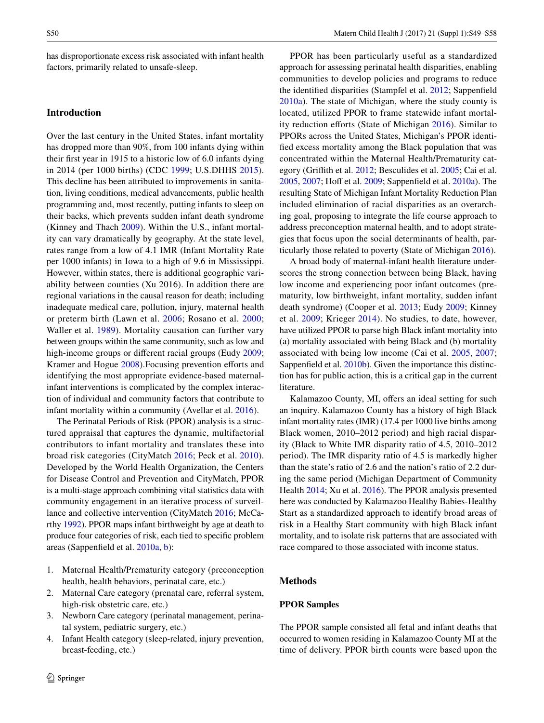has disproportionate excess risk associated with infant health factors, primarily related to unsafe-sleep.

### **Introduction**

Over the last century in the United States, infant mortality has dropped more than 90%, from 100 infants dying within their first year in 1915 to a historic low of 6.0 infants dying in 2014 (per 1000 births) (CDC [1999;](#page-8-0) U.S.DHHS [2015](#page-9-0)). This decline has been attributed to improvements in sanitation, living conditions, medical advancements, public health programming and, most recently, putting infants to sleep on their backs, which prevents sudden infant death syndrome (Kinney and Thach [2009](#page-8-1)). Within the U.S., infant mortality can vary dramatically by geography. At the state level, rates range from a low of 4.1 IMR (Infant Mortality Rate per 1000 infants) in Iowa to a high of 9.6 in Mississippi. However, within states, there is additional geographic variability between counties (Xu 2016). In addition there are regional variations in the causal reason for death; including inadequate medical care, pollution, injury, maternal health or preterm birth (Lawn et al. [2006](#page-8-2); Rosano et al. [2000](#page-8-3); Waller et al. [1989\)](#page-9-1). Mortality causation can further vary between groups within the same community, such as low and high-income groups or different racial groups (Eudy [2009](#page-8-4); Kramer and Hogue [2008\)](#page-8-5).Focusing prevention efforts and identifying the most appropriate evidence-based maternalinfant interventions is complicated by the complex interaction of individual and community factors that contribute to infant mortality within a community (Avellar et al. [2016\)](#page-8-6).

The Perinatal Periods of Risk (PPOR) analysis is a structured appraisal that captures the dynamic, multifactorial contributors to infant mortality and translates these into broad risk categories (CityMatch [2016](#page-8-7); Peck et al. [2010](#page-8-8)). Developed by the World Health Organization, the Centers for Disease Control and Prevention and CityMatch, PPOR is a multi-stage approach combining vital statistics data with community engagement in an iterative process of surveillance and collective intervention (CityMatch [2016;](#page-8-7) McCarthy [1992](#page-8-9)). PPOR maps infant birthweight by age at death to produce four categories of risk, each tied to specific problem areas (Sappenfield et al. [2010a](#page-8-10), [b](#page-8-11)):

- 1. Maternal Health/Prematurity category (preconception health, health behaviors, perinatal care, etc.)
- 2. Maternal Care category (prenatal care, referral system, high-risk obstetric care, etc.)
- 3. Newborn Care category (perinatal management, perinatal system, pediatric surgery, etc.)
- 4. Infant Health category (sleep-related, injury prevention, breast-feeding, etc.)

PPOR has been particularly useful as a standardized approach for assessing perinatal health disparities, enabling communities to develop policies and programs to reduce the identified disparities (Stampfel et al. [2012](#page-8-12); Sappenfield [2010a](#page-8-10)). The state of Michigan, where the study county is located, utilized PPOR to frame statewide infant mortality reduction efforts (State of Michigan [2016\)](#page-8-13). Similar to PPORs across the United States, Michigan's PPOR identified excess mortality among the Black population that was concentrated within the Maternal Health/Prematurity category (Griffith et al. [2012;](#page-8-14) Besculides et al. [2005](#page-8-15); Cai et al. [2005](#page-8-16), [2007](#page-8-17); Hoff et al. [2009;](#page-8-18) Sappenfield et al. [2010a](#page-8-10)). The resulting State of Michigan Infant Mortality Reduction Plan included elimination of racial disparities as an overarching goal, proposing to integrate the life course approach to address preconception maternal health, and to adopt strategies that focus upon the social determinants of health, particularly those related to poverty (State of Michigan [2016](#page-8-13)).

A broad body of maternal-infant health literature underscores the strong connection between being Black, having low income and experiencing poor infant outcomes (prematurity, low birthweight, infant mortality, sudden infant death syndrome) (Cooper et al. [2013](#page-8-19); Eudy [2009;](#page-8-4) Kinney et al. [2009;](#page-8-1) Krieger [2014\)](#page-8-20). No studies, to date, however, have utilized PPOR to parse high Black infant mortality into (a) mortality associated with being Black and (b) mortality associated with being low income (Cai et al. [2005](#page-8-16), [2007](#page-8-17); Sappenfield et al. [2010b\)](#page-8-11). Given the importance this distinction has for public action, this is a critical gap in the current literature.

Kalamazoo County, MI, offers an ideal setting for such an inquiry. Kalamazoo County has a history of high Black infant mortality rates (IMR) (17.4 per 1000 live births among Black women, 2010–2012 period) and high racial disparity (Black to White IMR disparity ratio of 4.5, 2010–2012 period). The IMR disparity ratio of 4.5 is markedly higher than the state's ratio of 2.6 and the nation's ratio of 2.2 during the same period (Michigan Department of Community Health [2014;](#page-8-21) Xu et al. [2016](#page-9-2)). The PPOR analysis presented here was conducted by Kalamazoo Healthy Babies-Healthy Start as a standardized approach to identify broad areas of risk in a Healthy Start community with high Black infant mortality, and to isolate risk patterns that are associated with race compared to those associated with income status.

# **Methods**

#### **PPOR Samples**

The PPOR sample consisted all fetal and infant deaths that occurred to women residing in Kalamazoo County MI at the time of delivery. PPOR birth counts were based upon the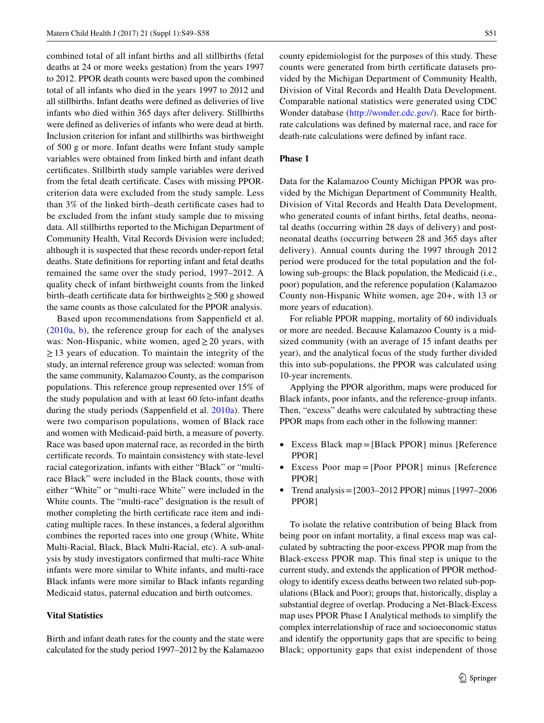combined total of all infant births and all stillbirths (fetal deaths at 24 or more weeks gestation) from the years 1997 to 2012. PPOR death counts were based upon the combined total of all infants who died in the years 1997 to 2012 and all stillbirths. Infant deaths were defined as deliveries of live infants who died within 365 days after delivery. Stillbirths were defined as deliveries of infants who were dead at birth. Inclusion criterion for infant and stillbirths was birthweight of 500 g or more. Infant deaths were Infant study sample variables were obtained from linked birth and infant death certificates. Stillbirth study sample variables were derived from the fetal death certificate. Cases with missing PPORcriterion data were excluded from the study sample. Less than 3% of the linked birth–death certificate cases had to be excluded from the infant study sample due to missing data. All stillbirths reported to the Michigan Department of Community Health, Vital Records Division were included; although it is suspected that these records under-report fetal deaths. State definitions for reporting infant and fetal deaths remained the same over the study period, 1997–2012. A quality check of infant birthweight counts from the linked birth–death certificate data for birthweights≥500 g showed the same counts as those calculated for the PPOR analysis.

Based upon recommendations from Sappenfield et al.  $(2010a, b)$  $(2010a, b)$  $(2010a, b)$  $(2010a, b)$  $(2010a, b)$ , the reference group for each of the analyses was: Non-Hispanic, white women, aged  $\geq 20$  years, with  $\geq$  13 years of education. To maintain the integrity of the study, an internal reference group was selected: woman from the same community, Kalamazoo County, as the comparison populations. This reference group represented over 15% of the study population and with at least 60 feto-infant deaths during the study periods (Sappenfield et al. [2010a\)](#page-8-10). There were two comparison populations, women of Black race and women with Medicaid-paid birth, a measure of poverty. Race was based upon maternal race, as recorded in the birth certificate records. To maintain consistency with state-level racial categorization, infants with either "Black" or "multirace Black" were included in the Black counts, those with either "White" or "multi-race White" were included in the White counts. The "multi-race" designation is the result of mother completing the birth certificate race item and indicating multiple races. In these instances, a federal algorithm combines the reported races into one group (White, White Multi-Racial, Black, Black Multi-Racial, etc). A sub-analysis by study investigators confirmed that multi-race White infants were more similar to White infants, and multi-race Black infants were more similar to Black infants regarding Medicaid status, paternal education and birth outcomes.

# **Vital Statistics**

Birth and infant death rates for the county and the state were calculated for the study period 1997–2012 by the Kalamazoo county epidemiologist for the purposes of this study. These counts were generated from birth certificate datasets provided by the Michigan Department of Community Health, Division of Vital Records and Health Data Development. Comparable national statistics were generated using CDC Wonder database ([http://wonder.cdc.gov/\)](http://wonder.cdc.gov/). Race for birthrate calculations was defined by maternal race, and race for death-rate calculations were defined by infant race.

# **Phase 1**

Data for the Kalamazoo County Michigan PPOR was provided by the Michigan Department of Community Health, Division of Vital Records and Health Data Development, who generated counts of infant births, fetal deaths, neonatal deaths (occurring within 28 days of delivery) and postneonatal deaths (occurring between 28 and 365 days after delivery). Annual counts during the 1997 through 2012 period were produced for the total population and the following sub-groups: the Black population, the Medicaid (i.e., poor) population, and the reference population (Kalamazoo County non-Hispanic White women, age 20+, with 13 or more years of education).

For reliable PPOR mapping, mortality of 60 individuals or more are needed. Because Kalamazoo County is a midsized community (with an average of 15 infant deaths per year), and the analytical focus of the study further divided this into sub-populations, the PPOR was calculated using 10-year increments.

Applying the PPOR algorithm, maps were produced for Black infants, poor infants, and the reference-group infants. Then, "excess" deaths were calculated by subtracting these PPOR maps from each other in the following manner:

- Excess Black map=[Black PPOR] minus [Reference PPOR]
- Excess Poor map = [Poor PPOR] minus [Reference PPOR]
- Trend analysis =  $[2003-2012 \text{ PPOR}]$  minus  $[1997-2006$ PPOR]

To isolate the relative contribution of being Black from being poor on infant mortality, a final excess map was calculated by subtracting the poor-excess PPOR map from the Black-excess PPOR map. This final step is unique to the current study, and extends the application of PPOR methodology to identify excess deaths between two related sub-populations (Black and Poor); groups that, historically, display a substantial degree of overlap. Producing a Net-Black-Excess map uses PPOR Phase I Analytical methods to simplify the complex interrelationship of race and socioeconomic status and identify the opportunity gaps that are specific to being Black; opportunity gaps that exist independent of those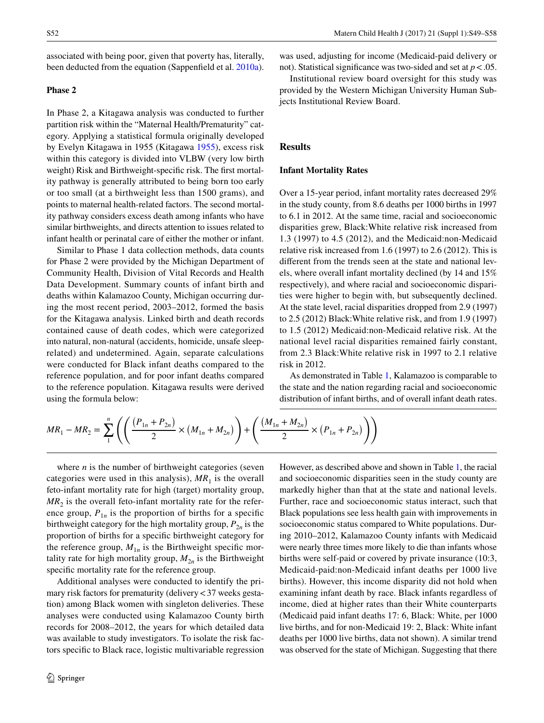associated with being poor, given that poverty has, literally, been deducted from the equation (Sappenfield et al. [2010a](#page-8-10)).

# **Phase 2**

In Phase 2, a Kitagawa analysis was conducted to further partition risk within the "Maternal Health/Prematurity" category. Applying a statistical formula originally developed by Evelyn Kitagawa in 1955 (Kitagawa [1955\)](#page-8-22), excess risk within this category is divided into VLBW (very low birth weight) Risk and Birthweight-specific risk. The first mortality pathway is generally attributed to being born too early or too small (at a birthweight less than 1500 grams), and points to maternal health-related factors. The second mortality pathway considers excess death among infants who have similar birthweights, and directs attention to issues related to infant health or perinatal care of either the mother or infant.

Similar to Phase 1 data collection methods, data counts for Phase 2 were provided by the Michigan Department of Community Health, Division of Vital Records and Health Data Development. Summary counts of infant birth and deaths within Kalamazoo County, Michigan occurring during the most recent period, 2003–2012, formed the basis for the Kitagawa analysis. Linked birth and death records contained cause of death codes, which were categorized into natural, non-natural (accidents, homicide, unsafe sleeprelated) and undetermined. Again, separate calculations were conducted for Black infant deaths compared to the reference population, and for poor infant deaths compared to the reference population. Kitagawa results were derived using the formula below:

was used, adjusting for income (Medicaid-paid delivery or not). Statistical significance was two-sided and set at *p*<.05.

Institutional review board oversight for this study was provided by the Western Michigan University Human Subjects Institutional Review Board.

# **Results**

#### **Infant Mortality Rates**

Over a 15-year period, infant mortality rates decreased 29% in the study county, from 8.6 deaths per 1000 births in 1997 to 6.1 in 2012. At the same time, racial and socioeconomic disparities grew, Black:White relative risk increased from 1.3 (1997) to 4.5 (2012), and the Medicaid:non-Medicaid relative risk increased from 1.6 (1997) to 2.6 (2012). This is different from the trends seen at the state and national levels, where overall infant mortality declined (by 14 and 15% respectively), and where racial and socioeconomic disparities were higher to begin with, but subsequently declined. At the state level, racial disparities dropped from 2.9 (1997) to 2.5 (2012) Black:White relative risk, and from 1.9 (1997) to 1.5 (2012) Medicaid:non-Medicaid relative risk. At the national level racial disparities remained fairly constant, from 2.3 Black:White relative risk in 1997 to 2.1 relative risk in 2012.

As demonstrated in Table [1](#page-4-0), Kalamazoo is comparable to the state and the nation regarding racial and socioeconomic distribution of infant births, and of overall infant death rates.

$$
MR_1 - MR_2 = \sum_{1}^{n} \left( \left( \frac{(P_{1n} + P_{2n})}{2} \times (M_{1n} + M_{2n}) \right) + \left( \frac{(M_{1n} + M_{2n})}{2} \times (P_{1n} + P_{2n}) \right) \right)
$$

where *n* is the number of birthweight categories (seven categories were used in this analysis),  $MR_1$  is the overall feto-infant mortality rate for high (target) mortality group,  $MR<sub>2</sub>$  is the overall feto-infant mortality rate for the reference group,  $P_{1n}$  is the proportion of births for a specific birthweight category for the high mortality group,  $P_{2n}$  is the proportion of births for a specific birthweight category for the reference group,  $M_{1n}$  is the Birthweight specific mortality rate for high mortality group,  $M_{2n}$  is the Birthweight specific mortality rate for the reference group.

Additional analyses were conducted to identify the primary risk factors for prematurity (delivery<37 weeks gestation) among Black women with singleton deliveries. These analyses were conducted using Kalamazoo County birth records for 2008–2012, the years for which detailed data was available to study investigators. To isolate the risk factors specific to Black race, logistic multivariable regression However, as described above and shown in Table [1,](#page-4-0) the racial and socioeconomic disparities seen in the study county are markedly higher than that at the state and national levels. Further, race and socioeconomic status interact, such that Black populations see less health gain with improvements in socioeconomic status compared to White populations. During 2010–2012, Kalamazoo County infants with Medicaid were nearly three times more likely to die than infants whose births were self-paid or covered by private insurance (10:3, Medicaid-paid:non-Medicaid infant deaths per 1000 live births). However, this income disparity did not hold when examining infant death by race. Black infants regardless of income, died at higher rates than their White counterparts (Medicaid paid infant deaths 17: 6, Black: White, per 1000 live births, and for non-Medicaid 19: 2, Black: White infant deaths per 1000 live births, data not shown). A similar trend was observed for the state of Michigan. Suggesting that there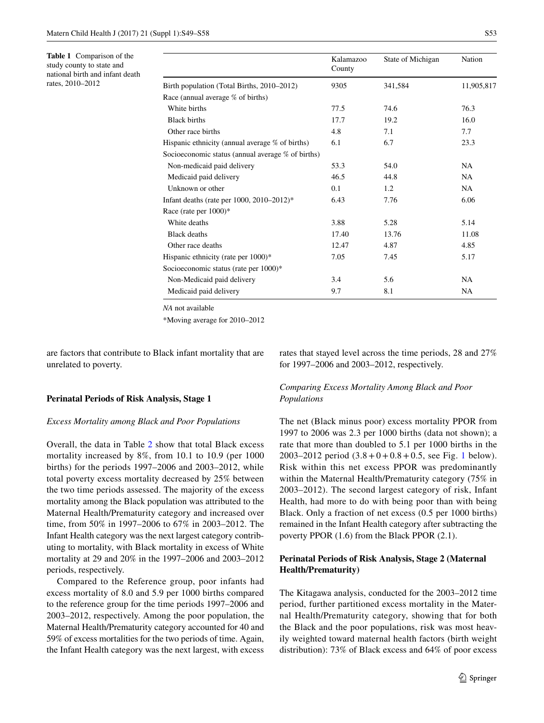<span id="page-4-0"></span>**Table 1** Comparison of the study county to state and national birth and infant death rates, 2010–2012

|                                                   | County |         |            |
|---------------------------------------------------|--------|---------|------------|
| Birth population (Total Births, 2010–2012)        | 9305   | 341,584 | 11,905,817 |
| Race (annual average % of births)                 |        |         |            |
| White births                                      | 77.5   | 74.6    | 76.3       |
| <b>Black births</b>                               | 17.7   | 19.2    | 16.0       |
| Other race births                                 | 4.8    | 7.1     | 7.7        |
| Hispanic ethnicity (annual average % of births)   | 6.1    | 6.7     | 23.3       |
| Socioeconomic status (annual average % of births) |        |         |            |
| Non-medicaid paid delivery                        | 53.3   | 54.0    | NA.        |
| Medicaid paid delivery                            | 46.5   | 44.8    | NA.        |
| Unknown or other                                  | 0.1    | 1.2     | NA.        |
| Infant deaths (rate per 1000, 2010–2012)*         | 6.43   | 7.76    | 6.06       |
| Race (rate per $1000$ )*                          |        |         |            |
| White deaths                                      | 3.88   | 5.28    | 5.14       |
| <b>Black</b> deaths                               | 17.40  | 13.76   | 11.08      |
| Other race deaths                                 | 12.47  | 4.87    | 4.85       |
| Hispanic ethnicity (rate per $1000$ )*            | 7.05   | 7.45    | 5.17       |
| Socioeconomic status (rate per 1000)*             |        |         |            |
| Non-Medicaid paid delivery                        | 3.4    | 5.6     | NA.        |
| Medicaid paid delivery                            | 9.7    | 8.1     | NA.        |

*NA* not available

\*Moving average for 2010–2012

are factors that contribute to Black infant mortality that are unrelated to poverty.

#### **Perinatal Periods of Risk Analysis, Stage 1**

#### *Excess Mortality among Black and Poor Populations*

Overall, the data in Table [2](#page-5-0) show that total Black excess mortality increased by 8%, from 10.1 to 10.9 (per 1000 births) for the periods 1997–2006 and 2003–2012, while total poverty excess mortality decreased by 25% between the two time periods assessed. The majority of the excess mortality among the Black population was attributed to the Maternal Health/Prematurity category and increased over time, from 50% in 1997–2006 to 67% in 2003–2012. The Infant Health category was the next largest category contributing to mortality, with Black mortality in excess of White mortality at 29 and 20% in the 1997–2006 and 2003–2012 periods, respectively.

Compared to the Reference group, poor infants had excess mortality of 8.0 and 5.9 per 1000 births compared to the reference group for the time periods 1997–2006 and 2003–2012, respectively. Among the poor population, the Maternal Health/Prematurity category accounted for 40 and 59% of excess mortalities for the two periods of time. Again, the Infant Health category was the next largest, with excess

rates that stayed level across the time periods, 28 and 27% for 1997–2006 and 2003–2012, respectively.

# *Comparing Excess Mortality Among Black and Poor Populations*

The net (Black minus poor) excess mortality PPOR from 1997 to 2006 was 2.3 per 1000 births (data not shown); a rate that more than doubled to 5.1 per 1000 births in the 2003–20[1](#page-5-1)2 period  $(3.8 + 0 + 0.8 + 0.5$ , see Fig. 1 below). Risk within this net excess PPOR was predominantly within the Maternal Health/Prematurity category (75% in 2003–2012). The second largest category of risk, Infant Health, had more to do with being poor than with being Black. Only a fraction of net excess (0.5 per 1000 births) remained in the Infant Health category after subtracting the poverty PPOR (1.6) from the Black PPOR (2.1).

# **Perinatal Periods of Risk Analysis, Stage 2 (Maternal Health/Prematurity)**

The Kitagawa analysis, conducted for the 2003–2012 time period, further partitioned excess mortality in the Maternal Health/Prematurity category, showing that for both the Black and the poor populations, risk was most heavily weighted toward maternal health factors (birth weight distribution): 73% of Black excess and 64% of poor excess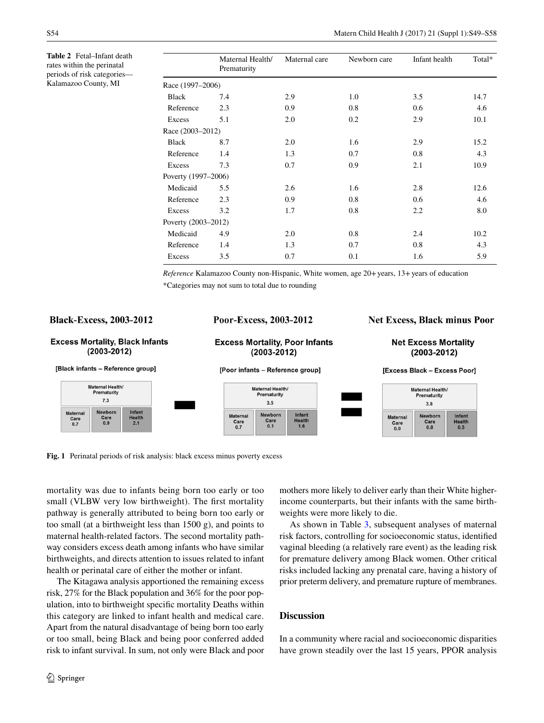<span id="page-5-0"></span>**Table 2** Fetal–Infant death rates within the perinatal periods of risk categories— Kalamazoo County, MI

|                     | Maternal Health/<br>Prematurity | Maternal care | Newborn care | Infant health | Total* |  |  |  |
|---------------------|---------------------------------|---------------|--------------|---------------|--------|--|--|--|
| Race (1997-2006)    |                                 |               |              |               |        |  |  |  |
| <b>Black</b>        | 7.4                             | 2.9           | 1.0          | 3.5           | 14.7   |  |  |  |
| Reference           | 2.3                             | 0.9           | 0.8          | 0.6           | 4.6    |  |  |  |
| Excess              | 5.1                             | 2.0           | 0.2          | 2.9           | 10.1   |  |  |  |
| Race (2003-2012)    |                                 |               |              |               |        |  |  |  |
| <b>Black</b>        | 8.7                             | 2.0           | 1.6          | 2.9           | 15.2   |  |  |  |
| Reference           | 1.4                             | 1.3           | 0.7          | 0.8           | 4.3    |  |  |  |
| Excess              | 7.3                             | 0.7           | 0.9          | 2.1           | 10.9   |  |  |  |
| Poverty (1997-2006) |                                 |               |              |               |        |  |  |  |
| Medicaid            | 5.5                             | 2.6           | 1.6          | 2.8           | 12.6   |  |  |  |
| Reference           | 2.3                             | 0.9           | 0.8          | 0.6           | 4.6    |  |  |  |
| Excess              | 3.2                             | 1.7           | 0.8          | 2.2           | 8.0    |  |  |  |
| Poverty (2003–2012) |                                 |               |              |               |        |  |  |  |
| Medicaid            | 4.9                             | 2.0           | 0.8          | 2.4           | 10.2   |  |  |  |
| Reference           | 1.4                             | 1.3           | 0.7          | 0.8           | 4.3    |  |  |  |
| Excess              | 3.5                             | 0.7           | 0.1          | 1.6           | 5.9    |  |  |  |
|                     |                                 |               |              |               |        |  |  |  |

*Reference* Kalamazoo County non-Hispanic, White women, age 20+ years, 13+ years of education \*Categories may not sum to total due to rounding

#### **Black-Excess, 2003-2012** Poor-Excess, 2003-2012 **Net Excess, Black minus Poor Excess Mortality, Black Infants Excess Mortality, Poor Infants Net Excess Mortality**  $(2003 - 2012)$  $(2003 - 2012)$  $(2003 - 2012)$ [Black infants - Reference group] [Poor infants - Reference group] [Excess Black - Excess Poor] Maternal Health Maternal Health Maternal Health **Prematurity** Prematurity Prematurity  $7.3$  $3.5$  $38$ lewborn<br>Care Maternal Newborn Infant<br>Health<br>0.5 Maternal Infant Maternal Newborn Health<br>2.1  $\frac{Care}{0.7}$  $\frac{4}{1.6}$ Care<br>Care<br>0.8  $Care$ <br> $0.7$ Care  $0<sup>9</sup>$ Care  $0.1$  $0.0$

<span id="page-5-1"></span>**Fig. 1** Perinatal periods of risk analysis: black excess minus poverty excess

mortality was due to infants being born too early or too small (VLBW very low birthweight). The first mortality pathway is generally attributed to being born too early or too small (at a birthweight less than 1500 g), and points to maternal health-related factors. The second mortality pathway considers excess death among infants who have similar birthweights, and directs attention to issues related to infant health or perinatal care of either the mother or infant.

The Kitagawa analysis apportioned the remaining excess risk, 27% for the Black population and 36% for the poor population, into to birthweight specific mortality Deaths within this category are linked to infant health and medical care. Apart from the natural disadvantage of being born too early or too small, being Black and being poor conferred added risk to infant survival. In sum, not only were Black and poor mothers more likely to deliver early than their White higherincome counterparts, but their infants with the same birthweights were more likely to die.

As shown in Table [3](#page-6-0), subsequent analyses of maternal risk factors, controlling for socioeconomic status, identified vaginal bleeding (a relatively rare event) as the leading risk for premature delivery among Black women. Other critical risks included lacking any prenatal care, having a history of prior preterm delivery, and premature rupture of membranes.

# **Discussion**

In a community where racial and socioeconomic disparities have grown steadily over the last 15 years, PPOR analysis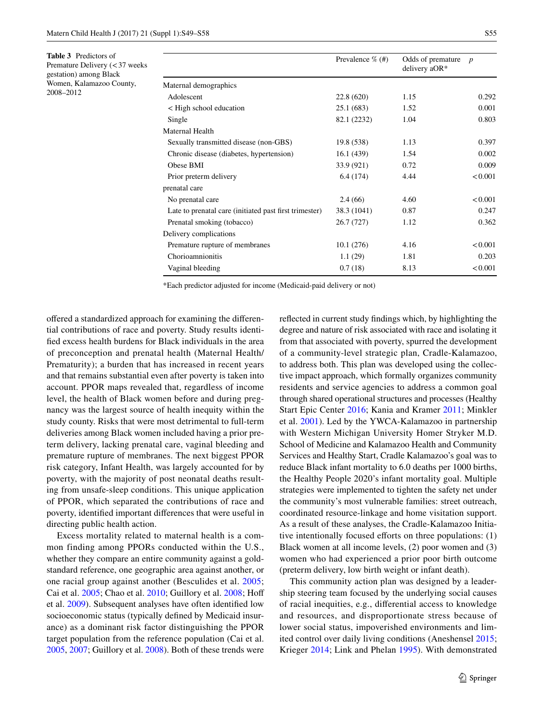<span id="page-6-0"></span>**Table 3** Predictors of Premature Delivery (<37 weeks gestation) among Black Women, Kalamazoo County, 2008–2012

| Prevalence $\%$ (#) | Odds of premature<br>delivery aOR* | $\boldsymbol{p}$ |
|---------------------|------------------------------------|------------------|
|                     |                                    |                  |
| 22.8 (620)          | 1.15                               | 0.292            |
| 25.1 (683)          | 1.52                               | 0.001            |
| 82.1 (2232)         | 1.04                               | 0.803            |
|                     |                                    |                  |
| 19.8 (538)          | 1.13                               | 0.397            |
| 16.1(439)           | 1.54                               | 0.002            |
| 33.9 (921)          | 0.72                               | 0.009            |
| 6.4(174)            | 4.44                               | < 0.001          |
|                     |                                    |                  |
| 2.4(66)             | 4.60                               | < 0.001          |
| 38.3 (1041)         | 0.87                               | 0.247            |
| 26.7 (727)          | 1.12                               | 0.362            |
|                     |                                    |                  |
| 10.1(276)           | 4.16                               | < 0.001          |
| 1.1(29)             | 1.81                               | 0.203            |
| 0.7(18)             | 8.13                               | < 0.001          |
|                     |                                    |                  |

\*Each predictor adjusted for income (Medicaid-paid delivery or not)

offered a standardized approach for examining the differential contributions of race and poverty. Study results identified excess health burdens for Black individuals in the area of preconception and prenatal health (Maternal Health/ Prematurity); a burden that has increased in recent years and that remains substantial even after poverty is taken into account. PPOR maps revealed that, regardless of income level, the health of Black women before and during pregnancy was the largest source of health inequity within the study county. Risks that were most detrimental to full-term deliveries among Black women included having a prior preterm delivery, lacking prenatal care, vaginal bleeding and premature rupture of membranes. The next biggest PPOR risk category, Infant Health, was largely accounted for by poverty, with the majority of post neonatal deaths resulting from unsafe-sleep conditions. This unique application of PPOR, which separated the contributions of race and poverty, identified important differences that were useful in directing public health action.

Excess mortality related to maternal health is a common finding among PPORs conducted within the U.S., whether they compare an entire community against a goldstandard reference, one geographic area against another, or one racial group against another (Besculides et al. [2005](#page-8-15); Cai et al. [2005;](#page-8-16) Chao et al. [2010](#page-8-23); Guillory et al. [2008](#page-8-24); Hoff et al. [2009\)](#page-8-18). Subsequent analyses have often identified low socioeconomic status (typically defined by Medicaid insurance) as a dominant risk factor distinguishing the PPOR target population from the reference population (Cai et al. [2005](#page-8-16), [2007](#page-8-17); Guillory et al. [2008](#page-8-24)). Both of these trends were

reflected in current study findings which, by highlighting the degree and nature of risk associated with race and isolating it from that associated with poverty, spurred the development of a community-level strategic plan, Cradle-Kalamazoo, to address both. This plan was developed using the collective impact approach, which formally organizes community residents and service agencies to address a common goal through shared operational structures and processes (Healthy Start Epic Center [2016;](#page-8-25) Kania and Kramer [2011;](#page-8-26) Minkler et al. [2001](#page-8-27)). Led by the YWCA-Kalamazoo in partnership with Western Michigan University Homer Stryker M.D. School of Medicine and Kalamazoo Health and Community Services and Healthy Start, Cradle Kalamazoo's goal was to reduce Black infant mortality to 6.0 deaths per 1000 births, the Healthy People 2020's infant mortality goal. Multiple strategies were implemented to tighten the safety net under the community's most vulnerable families: street outreach, coordinated resource-linkage and home visitation support. As a result of these analyses, the Cradle-Kalamazoo Initiative intentionally focused efforts on three populations: (1) Black women at all income levels, (2) poor women and (3) women who had experienced a prior poor birth outcome (preterm delivery, low birth weight or infant death).

This community action plan was designed by a leadership steering team focused by the underlying social causes of racial inequities, e.g., differential access to knowledge and resources, and disproportionate stress because of lower social status, impoverished environments and limited control over daily living conditions (Aneshensel [2015](#page-8-28); Krieger [2014;](#page-8-20) Link and Phelan [1995](#page-8-29)). With demonstrated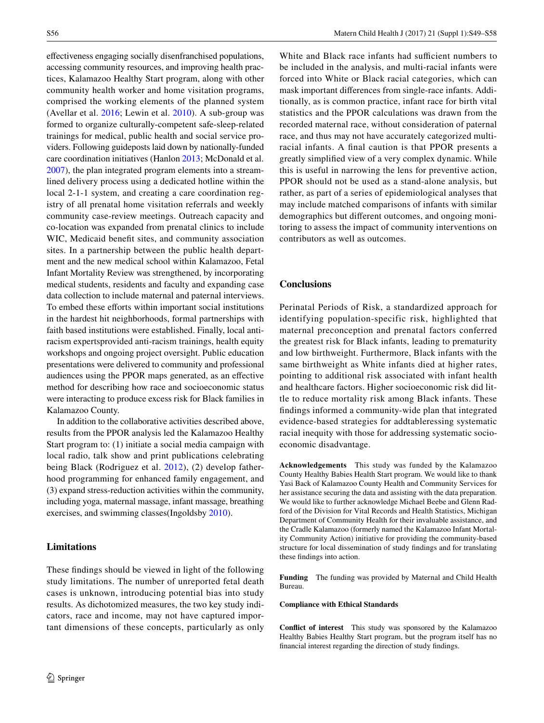effectiveness engaging socially disenfranchised populations, accessing community resources, and improving health practices, Kalamazoo Healthy Start program, along with other community health worker and home visitation programs, comprised the working elements of the planned system (Avellar et al. [2016](#page-8-6); Lewin et al. [2010\)](#page-8-30). A sub-group was formed to organize culturally-competent safe-sleep-related trainings for medical, public health and social service providers. Following guideposts laid down by nationally-funded care coordination initiatives (Hanlon [2013;](#page-8-31) McDonald et al. [2007](#page-8-32)), the plan integrated program elements into a streamlined delivery process using a dedicated hotline within the local 2-1-1 system, and creating a care coordination registry of all prenatal home visitation referrals and weekly community case-review meetings. Outreach capacity and co-location was expanded from prenatal clinics to include WIC, Medicaid benefit sites, and community association sites. In a partnership between the public health department and the new medical school within Kalamazoo, Fetal Infant Mortality Review was strengthened, by incorporating medical students, residents and faculty and expanding case data collection to include maternal and paternal interviews. To embed these efforts within important social institutions in the hardest hit neighborhoods, formal partnerships with faith based institutions were established. Finally, local antiracism expertsprovided anti-racism trainings, health equity workshops and ongoing project oversight. Public education presentations were delivered to community and professional audiences using the PPOR maps generated, as an effective method for describing how race and socioeconomic status were interacting to produce excess risk for Black families in Kalamazoo County.

In addition to the collaborative activities described above, results from the PPOR analysis led the Kalamazoo Healthy Start program to: (1) initiate a social media campaign with local radio, talk show and print publications celebrating being Black (Rodriguez et al. [2012\)](#page-8-33), (2) develop fatherhood programming for enhanced family engagement, and (3) expand stress-reduction activities within the community, including yoga, maternal massage, infant massage, breathing exercises, and swimming classes(Ingoldsby [2010](#page-8-34)).

#### **Limitations**

These findings should be viewed in light of the following study limitations. The number of unreported fetal death cases is unknown, introducing potential bias into study results. As dichotomized measures, the two key study indicators, race and income, may not have captured important dimensions of these concepts, particularly as only

White and Black race infants had sufficient numbers to be included in the analysis, and multi-racial infants were forced into White or Black racial categories, which can mask important differences from single-race infants. Additionally, as is common practice, infant race for birth vital statistics and the PPOR calculations was drawn from the recorded maternal race, without consideration of paternal race, and thus may not have accurately categorized multiracial infants. A final caution is that PPOR presents a greatly simplified view of a very complex dynamic. While this is useful in narrowing the lens for preventive action, PPOR should not be used as a stand-alone analysis, but rather, as part of a series of epidemiological analyses that may include matched comparisons of infants with similar demographics but different outcomes, and ongoing monitoring to assess the impact of community interventions on contributors as well as outcomes.

# **Conclusions**

Perinatal Periods of Risk, a standardized approach for identifying population-specific risk, highlighted that maternal preconception and prenatal factors conferred the greatest risk for Black infants, leading to prematurity and low birthweight. Furthermore, Black infants with the same birthweight as White infants died at higher rates, pointing to additional risk associated with infant health and healthcare factors. Higher socioeconomic risk did little to reduce mortality risk among Black infants. These findings informed a community-wide plan that integrated evidence-based strategies for addtableressing systematic racial inequity with those for addressing systematic socioeconomic disadvantage.

**Acknowledgements** This study was funded by the Kalamazoo County Healthy Babies Health Start program. We would like to thank Yasi Back of Kalamazoo County Health and Community Services for her assistance securing the data and assisting with the data preparation. We would like to further acknowledge Michael Beebe and Glenn Radford of the Division for Vital Records and Health Statistics, Michigan Department of Community Health for their invaluable assistance, and the Cradle Kalamazoo (formerly named the Kalamazoo Infant Mortality Community Action) initiative for providing the community-based structure for local dissemination of study findings and for translating these findings into action.

**Funding** The funding was provided by Maternal and Child Health Bureau.

#### **Compliance with Ethical Standards**

**Conflict of interest** This study was sponsored by the Kalamazoo Healthy Babies Healthy Start program, but the program itself has no financial interest regarding the direction of study findings.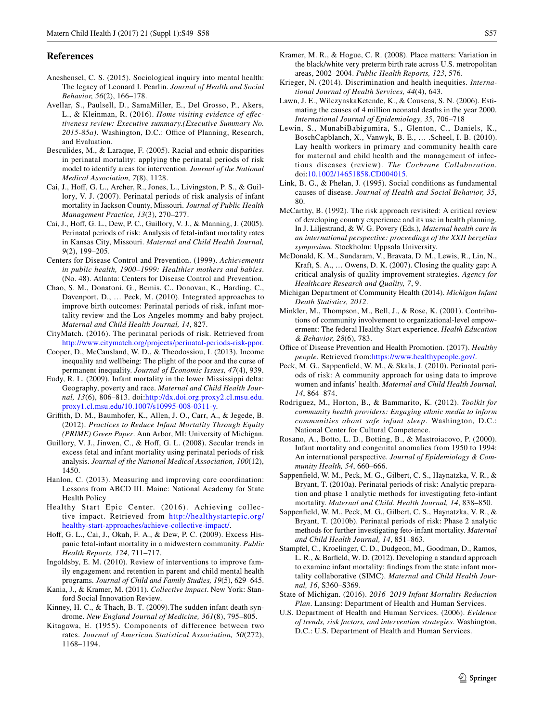#### **References**

- <span id="page-8-28"></span>Aneshensel, C. S. (2015). Sociological inquiry into mental health: The legacy of Leonard I. Pearlin. *Journal of Health and Social Behavior, 56*(2), 166–178.
- <span id="page-8-6"></span>Avellar, S., Paulsell, D., SamaMiller, E., Del Grosso, P., Akers, L., & Kleinman, R. (2016). *Home visiting evidence of effectiveness review: Executive summary.(Executive Summary No. 2015-85a)*. Washington, D.C.: Office of Planning, Research, and Evaluation.
- <span id="page-8-15"></span>Besculides, M., & Laraque, F. (2005). Racial and ethnic disparities in perinatal mortality: applying the perinatal periods of risk model to identify areas for intervention. *Journal of the National Medical Association, 7*(8), 1128.
- <span id="page-8-17"></span>Cai, J., Hoff, G. L., Archer, R., Jones, L., Livingston, P. S., & Guillory, V. J. (2007). Perinatal periods of risk analysis of infant mortality in Jackson County, Missouri. *Journal of Public Health Management Practice, 13*(3), 270–277.
- <span id="page-8-16"></span>Cai, J., Hoff, G. L., Dew, P. C., Guillory, V. J., & Manning, J. (2005). Perinatal periods of risk: Analysis of fetal-infant mortality rates in Kansas City, Missouri. *Maternal and Child Health Journal, 9*(2), 199–205.
- <span id="page-8-0"></span>Centers for Disease Control and Prevention. (1999). *Achievements in public health, 1900–1999: Healthier mothers and babies*. (No. 48). Atlanta: Centers for Disease Control and Prevention.
- <span id="page-8-23"></span>Chao, S. M., Donatoni, G., Bemis, C., Donovan, K., Harding, C., Davenport, D., … Peck, M. (2010). Integrated approaches to improve birth outcomes: Perinatal periods of risk, infant mortality review and the Los Angeles mommy and baby project. *Maternal and Child Health Journal, 14*, 827.
- <span id="page-8-7"></span>CityMatch. (2016). The perinatal periods of risk. Retrieved from <http://www.citymatch.org/projects/perinatal-periods-risk-ppor>.
- <span id="page-8-19"></span>Cooper, D., McCausland, W. D., & Theodossiou, I. (2013). Income inequality and wellbeing: The plight of the poor and the curse of permanent inequality. *Journal of Economic Issues, 47*(4), 939.
- <span id="page-8-4"></span>Eudy, R. L. (2009). Infant mortality in the lower Mississippi delta: Geography, poverty and race. *Maternal and Child Health Journal, 13*(6), 806–813. doi:[http://dx.doi.org.proxy2.cl.msu.edu.](http://dx.doi.org.proxy2.cl.msu.edu.proxy1.cl.msu.edu/) [proxy1.cl.msu.edu/](http://dx.doi.org.proxy2.cl.msu.edu.proxy1.cl.msu.edu/)[10.1007/s10995-008-0311-y.](https://doi.org/10.1007/s10995-008-0311-y)
- <span id="page-8-14"></span>Griffith, D. M., Baumhofer, K., Allen, J. O., Carr, A., & Jegede, B. (2012). *Practices to Reduce Infant Mortality Through Equity (PRIME) Green Paper*. Ann Arbor, MI: University of Michigan.
- <span id="page-8-24"></span>Guillory, V. J., Jinwen, C., & Hoff, G. L. (2008). Secular trends in excess fetal and infant mortality using perinatal periods of risk analysis. *Journal of the National Medical Association, 100*(12), 1450.
- <span id="page-8-31"></span>Hanlon, C. (2013). Measuring and improving care coordination: Lessons from ABCD III. Maine: National Academy for State Health Policy
- <span id="page-8-25"></span>Healthy Start Epic Center. (2016). Achieving collective impact. Retrieved from [http://healthystartepic.org/](http://healthystartepic.org/healthy-start-approaches/achieve-collective-impact/) [healthy-start-approaches/achieve-collective-impact/](http://healthystartepic.org/healthy-start-approaches/achieve-collective-impact/).
- <span id="page-8-18"></span>Hoff, G. L., Cai, J., Okah, F. A., & Dew, P. C. (2009). Excess Hispanic fetal-infant mortality in a midwestern community. *Public Health Reports, 124*, 711–717.
- <span id="page-8-34"></span>Ingoldsby, E. M. (2010). Review of interventions to improve family engagement and retention in parent and child mental health programs. *Journal of Child and Family Studies, 19*(5), 629–645.
- <span id="page-8-26"></span>Kania, J., & Kramer, M. (2011). *Collective impact*. New York: Stanford Social Innovation Review.
- <span id="page-8-1"></span>Kinney, H. C., & Thach, B. T. (2009).The sudden infant death syndrome. *New England Journal of Medicine, 361*(8), 795–805.
- <span id="page-8-22"></span>Kitagawa, E. (1955). Components of difference between two rates. *Journal of American Statistical Association, 50*(272), 1168–1194.
- <span id="page-8-5"></span>Kramer, M. R., & Hogue, C. R. (2008). Place matters: Variation in the black/white very preterm birth rate across U.S. metropolitan areas, 2002–2004. *Public Health Reports, 123*, 576.
- <span id="page-8-20"></span>Krieger, N. (2014). Discrimination and health inequities. *International Journal of Health Services, 44*(4), 643.
- <span id="page-8-2"></span>Lawn, J. E., WilczynskaKetende, K., & Cousens, S. N. (2006). Estimating the causes of 4 million neonatal deaths in the year 2000. *International Journal of Epidemiology, 35*, 706–718
- <span id="page-8-30"></span>Lewin, S., MunabiBabigumira, S., Glenton, C., Daniels, K., BoschCapblanch, X., Vanwyk, B. E., … .Scheel, I. B. (2010). Lay health workers in primary and community health care for maternal and child health and the management of infectious diseases (review). *The Cochrane Collaboration*. doi:[10.1002/14651858.CD004015](https://doi.org/10.1002/14651858.CD004015).
- <span id="page-8-29"></span>Link, B. G., & Phelan, J. (1995). Social conditions as fundamental causes of disease. *Journal of Health and Social Behavior, 35*, 80.
- <span id="page-8-9"></span>McCarthy, B. (1992). The risk approach revisited: A critical review of developing country experience and its use in health planning. In J. Liljestrand, & W. G. Povery (Eds.), *Maternal health care in an international perspective: proceedings of the XXII berzelius symposium*. Stockholm: Uppsala University.
- <span id="page-8-32"></span>McDonald, K. M., Sundaram, V., Bravata, D. M., Lewis, R., Lin, N., Kraft, S. A., … Owens, D. K. (2007). Closing the quality gap: A critical analysis of quality improvement strategies. *Agency for Healthcare Research and Quality, 7*, 9.
- <span id="page-8-21"></span>Michigan Department of Community Health (2014). *Michigan Infant Death Statistics, 2012*.
- <span id="page-8-27"></span>Minkler, M., Thompson, M., Bell, J., & Rose, K. (2001). Contributions of community involvement to organizational-level empowerment: The federal Healthy Start experience. *Health Education & Behavior, 28*(6), 783.
- Office of Disease Prevention and Health Promotion. (2017). *Healthy people*. Retrieved from[:https://www.healthypeople.gov/](https://www.healthypeople.gov/).
- <span id="page-8-8"></span>Peck, M. G., Sappenfield, W. M., & Skala, J. (2010). Perinatal periods of risk: A community approach for using data to improve women and infants' health. *Maternal and Child Health Journal, 14*, 864–874.
- <span id="page-8-33"></span>Rodriguez, M., Horton, B., & Bammarito, K. (2012). *Toolkit for community health providers: Engaging ethnic media to inform communities about safe infant sleep*. Washington, D.C.: National Center for Cultural Competence.
- <span id="page-8-3"></span>Rosano, A., Botto, L. D., Botting, B., & Mastroiacovo, P. (2000). Infant mortality and congenital anomalies from 1950 to 1994: An international perspective. *Journal of Epidemiology & Community Health, 54*, 660–666.
- <span id="page-8-10"></span>Sappenfield, W. M., Peck, M. G., Gilbert, C. S., Haynatzka, V. R., & Bryant, T. (2010a). Perinatal periods of risk: Analytic preparation and phase 1 analytic methods for investigating feto-infant mortality. *Maternal and Child. Health Journal, 14*, 838–850.
- <span id="page-8-11"></span>Sappenfield, W. M., Peck, M. G., Gilbert, C. S., Haynatzka, V. R., & Bryant, T. (2010b). Perinatal periods of risk: Phase 2 analytic methods for further investigating feto-infant mortality. *Maternal and Child Health Journal, 14*, 851–863.
- <span id="page-8-12"></span>Stampfel, C., Kroelinger, C. D., Dudgeon, M., Goodman, D., Ramos, L. R., & Barfield, W. D. (2012). Developing a standard approach to examine infant mortality: findings from the state infant mortality collaborative (SIMC). *Maternal and Child Health Journal, 16*, S360–S369.
- <span id="page-8-13"></span>State of Michigan. (2016). *2016–2019 Infant Mortality Reduction Plan*. Lansing: Department of Health and Human Services.
- U.S. Department of Health and Human Services. (2006). *Evidence of trends, risk factors, and intervention strategies*. Washington, D.C.: U.S. Department of Health and Human Services.